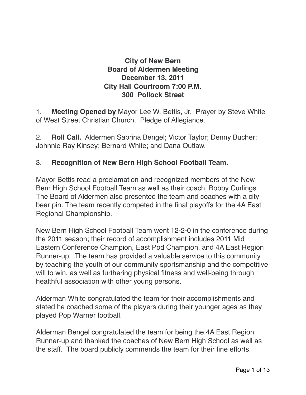# **City of New Bern Board of Aldermen Meeting December 13, 2011 City Hall Courtroom 7:00 P.M. 300 Pollock Street**

1. **Meeting Opened by** Mayor Lee W. Bettis, Jr. Prayer by Steve White of West Street Christian Church. Pledge of Allegiance.

2. **Roll Call.** Aldermen Sabrina Bengel; Victor Taylor; Denny Bucher; Johnnie Ray Kinsey; Bernard White; and Dana Outlaw.

#### 3. **Recognition of New Bern High School Football Team.**

Mayor Bettis read a proclamation and recognized members of the New Bern High School Football Team as well as their coach, Bobby Curlings. The Board of Aldermen also presented the team and coaches with a city bear pin. The team recently competed in the final playoffs for the 4A East Regional Championship.

New Bern High School Football Team went 12-2-0 in the conference during the 2011 season; their record of accomplishment includes 2011 Mid Eastern Conference Champion, East Pod Champion, and 4A East Region Runner-up. The team has provided a valuable service to this community by teaching the youth of our community sportsmanship and the competitive will to win, as well as furthering physical fitness and well-being through healthful association with other young persons.

Alderman White congratulated the team for their accomplishments and stated he coached some of the players during their younger ages as they played Pop Warner football.

Alderman Bengel congratulated the team for being the 4A East Region Runner-up and thanked the coaches of New Bern High School as well as the staff. The board publicly commends the team for their fine efforts.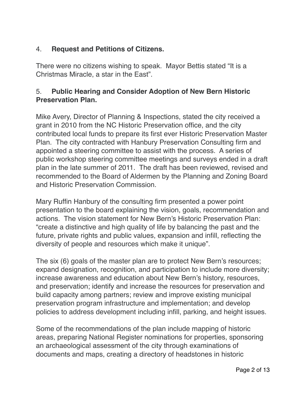# 4. **Request and Petitions of Citizens.**

There were no citizens wishing to speak. Mayor Bettis stated "It is a Christmas Miracle, a star in the East".

#### 5. **Public Hearing and Consider Adoption of New Bern Historic Preservation Plan.**

Mike Avery, Director of Planning & Inspections, stated the city received a grant in 2010 from the NC Historic Preservation office, and the city contributed local funds to prepare its first ever Historic Preservation Master Plan. The city contracted with Hanbury Preservation Consulting firm and appointed a steering committee to assist with the process. A series of public workshop steering committee meetings and surveys ended in a draft plan in the late summer of 2011. The draft has been reviewed, revised and recommended to the Board of Aldermen by the Planning and Zoning Board and Historic Preservation Commission.

Mary Ruffin Hanbury of the consulting firm presented a power point presentation to the board explaining the vision, goals, recommendation and actions. The vision statement for New Bern's Historic Preservation Plan: "create a distinctive and high quality of life by balancing the past and the future, private rights and public values, expansion and infill, reflecting the diversity of people and resources which make it unique".

The six (6) goals of the master plan are to protect New Bern's resources; expand designation, recognition, and participation to include more diversity; increase awareness and education about New Bern's history, resources, and preservation; identify and increase the resources for preservation and build capacity among partners; review and improve existing municipal preservation program infrastructure and implementation; and develop policies to address development including infill, parking, and height issues.

Some of the recommendations of the plan include mapping of historic areas, preparing National Register nominations for properties, sponsoring an archaeological assessment of the city through examinations of documents and maps, creating a directory of headstones in historic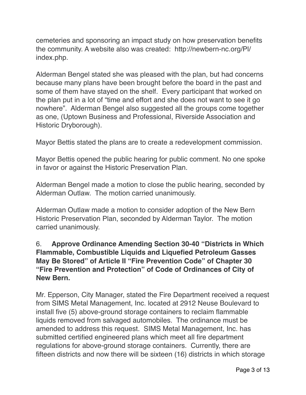cemeteries and sponsoring an impact study on how preservation benefits the community. A website also was created: http://newbern-nc.org/Pl/ index.php.

Alderman Bengel stated she was pleased with the plan, but had concerns because many plans have been brought before the board in the past and some of them have stayed on the shelf. Every participant that worked on the plan put in a lot of "time and effort and she does not want to see it go nowhere". Alderman Bengel also suggested all the groups come together as one, (Uptown Business and Professional, Riverside Association and Historic Dryborough).

Mayor Bettis stated the plans are to create a redevelopment commission.

Mayor Bettis opened the public hearing for public comment. No one spoke in favor or against the Historic Preservation Plan.

Alderman Bengel made a motion to close the public hearing, seconded by Alderman Outlaw. The motion carried unanimously.

Alderman Outlaw made a motion to consider adoption of the New Bern Historic Preservation Plan, seconded by Alderman Taylor. The motion carried unanimously.

#### 6. **Approve Ordinance Amending Section 30-40 "Districts in Which Flammable, Combustible Liquids and Liquefied Petroleum Gasses May Be Stored" of Article II "Fire Prevention Code" of Chapter 30 "Fire Prevention and Protection" of Code of Ordinances of City of New Bern.**

Mr. Epperson, City Manager, stated the Fire Department received a request from SIMS Metal Management, Inc. located at 2912 Neuse Boulevard to install five (5) above-ground storage containers to reclaim flammable liquids removed from salvaged automobiles. The ordinance must be amended to address this request. SIMS Metal Management, Inc. has submitted certified engineered plans which meet all fire department regulations for above-ground storage containers. Currently, there are fifteen districts and now there will be sixteen (16) districts in which storage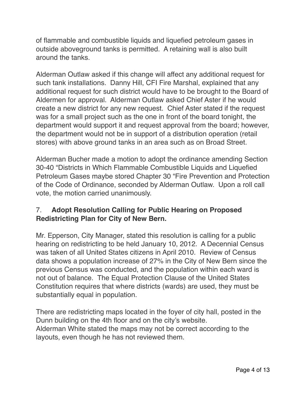of flammable and combustible liquids and liquefied petroleum gases in outside aboveground tanks is permitted. A retaining wall is also built around the tanks.

Alderman Outlaw asked if this change will affect any additional request for such tank installations. Danny Hill, CFI Fire Marshal, explained that any additional request for such district would have to be brought to the Board of Aldermen for approval. Alderman Outlaw asked Chief Aster if he would create a new district for any new request. Chief Aster stated if the request was for a small project such as the one in front of the board tonight, the department would support it and request approval from the board; however, the department would not be in support of a distribution operation (retail stores) with above ground tanks in an area such as on Broad Street.

Alderman Bucher made a motion to adopt the ordinance amending Section 30-40 "Districts in Which Flammable Combustible Liquids and Liquefied Petroleum Gases maybe stored Chapter 30 "Fire Prevention and Protection of the Code of Ordinance, seconded by Alderman Outlaw. Upon a roll call vote, the motion carried unanimously.

#### 7. **Adopt Resolution Calling for Public Hearing on Proposed Redistricting Plan for City of New Bern.**

Mr. Epperson, City Manager, stated this resolution is calling for a public hearing on redistricting to be held January 10, 2012. A Decennial Census was taken of all United States citizens in April 2010. Review of Census data shows a population increase of 27% in the City of New Bern since the previous Census was conducted, and the population within each ward is not out of balance. The Equal Protection Clause of the United States Constitution requires that where districts (wards) are used, they must be substantially equal in population.

There are redistricting maps located in the foyer of city hall, posted in the Dunn building on the 4th floor and on the city's website. Alderman White stated the maps may not be correct according to the layouts, even though he has not reviewed them.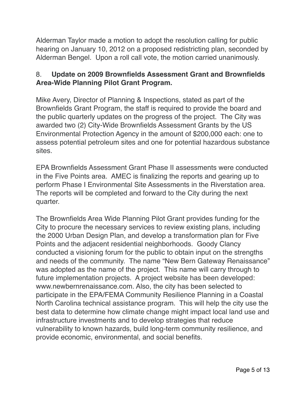Alderman Taylor made a motion to adopt the resolution calling for public hearing on January 10, 2012 on a proposed redistricting plan, seconded by Alderman Bengel. Upon a roll call vote, the motion carried unanimously.

#### 8. **Update on 2009 Brownfields Assessment Grant and Brownfields Area-Wide Planning Pilot Grant Program.**

Mike Avery, Director of Planning & Inspections, stated as part of the Brownfields Grant Program, the staff is required to provide the board and the public quarterly updates on the progress of the project. The City was awarded two (2) City-Wide Brownfields Assessment Grants by the US Environmental Protection Agency in the amount of \$200,000 each: one to assess potential petroleum sites and one for potential hazardous substance sites.

EPA Brownfields Assessment Grant Phase II assessments were conducted in the Five Points area. AMEC is finalizing the reports and gearing up to perform Phase I Environmental Site Assessments in the Riverstation area. The reports will be completed and forward to the City during the next quarter.

The Brownfields Area Wide Planning Pilot Grant provides funding for the City to procure the necessary services to review existing plans, including the 2000 Urban Design Plan, and develop a transformation plan for Five Points and the adjacent residential neighborhoods. Goody Clancy conducted a visioning forum for the public to obtain input on the strengths and needs of the community. The name "New Bern Gateway Renaissance" was adopted as the name of the project. This name will carry through to future implementation projects. A project website has been developed: www.newbernrenaissance.com. Also, the city has been selected to participate in the EPA/FEMA Community Resilience Planning in a Coastal North Carolina technical assistance program. This will help the city use the best data to determine how climate change might impact local land use and infrastructure investments and to develop strategies that reduce vulnerability to known hazards, build long-term community resilience, and provide economic, environmental, and social benefits.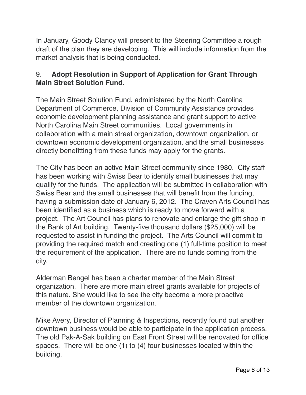In January, Goody Clancy will present to the Steering Committee a rough draft of the plan they are developing. This will include information from the market analysis that is being conducted.

# 9. **Adopt Resolution in Support of Application for Grant Through Main Street Solution Fund.**

The Main Street Solution Fund, administered by the North Carolina Department of Commerce, Division of Community Assistance provides economic development planning assistance and grant support to active North Carolina Main Street communities. Local governments in collaboration with a main street organization, downtown organization, or downtown economic development organization, and the small businesses directly benefitting from these funds may apply for the grants.

The City has been an active Main Street community since 1980. City staff has been working with Swiss Bear to identify small businesses that may qualify for the funds. The application will be submitted in collaboration with Swiss Bear and the small businesses that will benefit from the funding, having a submission date of January 6, 2012. The Craven Arts Council has been identified as a business which is ready to move forward with a project. The Art Council has plans to renovate and enlarge the gift shop in the Bank of Art building. Twenty-five thousand dollars (\$25,000) will be requested to assist in funding the project. The Arts Council will commit to providing the required match and creating one (1) full-time position to meet the requirement of the application. There are no funds coming from the city.

Alderman Bengel has been a charter member of the Main Street organization. There are more main street grants available for projects of this nature. She would like to see the city become a more proactive member of the downtown organization.

Mike Avery, Director of Planning & Inspections, recently found out another downtown business would be able to participate in the application process. The old Pak-A-Sak building on East Front Street will be renovated for office spaces. There will be one (1) to (4) four businesses located within the building.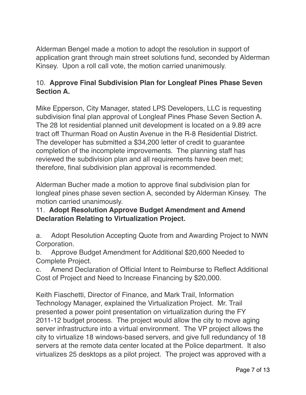Alderman Bengel made a motion to adopt the resolution in support of application grant through main street solutions fund, seconded by Alderman Kinsey. Upon a roll call vote, the motion carried unanimously.

# 10. **Approve Final Subdivision Plan for Longleaf Pines Phase Seven Section A.**

Mike Epperson, City Manager, stated LPS Developers, LLC is requesting subdivision final plan approval of Longleaf Pines Phase Seven Section A. The 28 lot residential planned unit development is located on a 9.89 acre tract off Thurman Road on Austin Avenue in the R-8 Residential District. The developer has submitted a \$34,200 letter of credit to guarantee completion of the incomplete improvements. The planning staff has reviewed the subdivision plan and all requirements have been met; therefore, final subdivision plan approval is recommended.

Alderman Bucher made a motion to approve final subdivision plan for longleaf pines phase seven section A, seconded by Alderman Kinsey. The motion carried unanimously.

# 11. **Adopt Resolution Approve Budget Amendment and Amend Declaration Relating to Virtualization Project.**

a. Adopt Resolution Accepting Quote from and Awarding Project to NWN Corporation.

b. Approve Budget Amendment for Additional \$20,600 Needed to Complete Project.

c. Amend Declaration of Official Intent to Reimburse to Reflect Additional Cost of Project and Need to Increase Financing by \$20,000.

Keith Fiaschetti, Director of Finance, and Mark Trail, Information Technology Manager, explained the Virtualization Project. Mr. Trail presented a power point presentation on virtualization during the FY 2011-12 budget process. The project would allow the city to move aging server infrastructure into a virtual environment. The VP project allows the city to virtualize 18 windows-based servers, and give full redundancy of 18 servers at the remote data center located at the Police department. It also virtualizes 25 desktops as a pilot project. The project was approved with a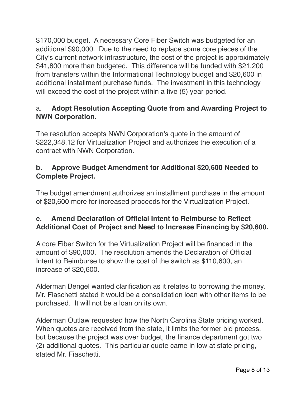\$170,000 budget. A necessary Core Fiber Switch was budgeted for an additional \$90,000. Due to the need to replace some core pieces of the City's current network infrastructure, the cost of the project is approximately \$41,800 more than budgeted. This difference will be funded with \$21,200 from transfers within the Informational Technology budget and \$20,600 in additional installment purchase funds. The investment in this technology will exceed the cost of the project within a five (5) year period.

# a. **Adopt Resolution Accepting Quote from and Awarding Project to NWN Corporation**.

The resolution accepts NWN Corporation's quote in the amount of \$222,348.12 for Virtualization Project and authorizes the execution of a contract with NWN Corporation.

#### **b. Approve Budget Amendment for Additional \$20,600 Needed to Complete Project.**

The budget amendment authorizes an installment purchase in the amount of \$20,600 more for increased proceeds for the Virtualization Project.

# **c. Amend Declaration of Official Intent to Reimburse to Reflect Additional Cost of Project and Need to Increase Financing by \$20,600.**

A core Fiber Switch for the Virtualization Project will be financed in the amount of \$90,000. The resolution amends the Declaration of Official Intent to Reimburse to show the cost of the switch as \$110,600, an increase of \$20,600.

Alderman Bengel wanted clarification as it relates to borrowing the money. Mr. Fiaschetti stated it would be a consolidation loan with other items to be purchased. It will not be a loan on its own.

Alderman Outlaw requested how the North Carolina State pricing worked. When quotes are received from the state, it limits the former bid process, but because the project was over budget, the finance department got two (2) additional quotes. This particular quote came in low at state pricing, stated Mr. Fiaschetti.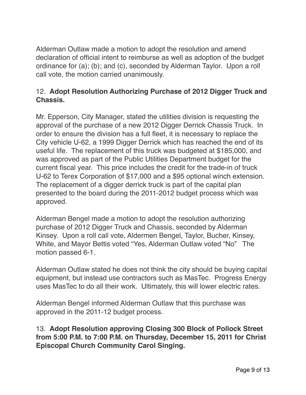Alderman Outlaw made a motion to adopt the resolution and amend declaration of official intent to reimburse as well as adoption of the budget ordinance for (a); (b); and (c), seconded by Alderman Taylor. Upon a roll call vote, the motion carried unanimously.

### 12. **Adopt Resolution Authorizing Purchase of 2012 Digger Truck and Chassis.**

Mr. Epperson, City Manager, stated the utilities division is requesting the approval of the purchase of a new 2012 Digger Derrick Chassis Truck. In order to ensure the division has a full fleet, it is necessary to replace the City vehicle U-62, a 1999 Digger Derrick which has reached the end of its useful life. The replacement of this truck was budgeted at \$185,000, and was approved as part of the Public Utilities Department budget for the current fiscal year. This price includes the credit for the trade-in of truck U-62 to Terex Corporation of \$17,000 and a \$95 optional winch extension. The replacement of a digger derrick truck is part of the capital plan presented to the board during the 2011-2012 budget process which was approved.

Alderman Bengel made a motion to adopt the resolution authorizing purchase of 2012 Digger Truck and Chassis, seconded by Alderman Kinsey. Upon a roll call vote, Aldermen Bengel, Taylor, Bucher, Kinsey, White, and Mayor Bettis voted "Yes, Alderman Outlaw voted "No" The motion passed 6-1.

Alderman Outlaw stated he does not think the city should be buying capital equipment, but instead use contractors such as MasTec. Progress Energy uses MasTec to do all their work. Ultimately, this will lower electric rates.

Alderman Bengel informed Alderman Outlaw that this purchase was approved in the 2011-12 budget process.

13. **Adopt Resolution approving Closing 300 Block of Pollock Street from 5:00 P.M. to 7:00 P.M. on Thursday, December 15, 2011 for Christ Episcopal Church Community Carol Singing.**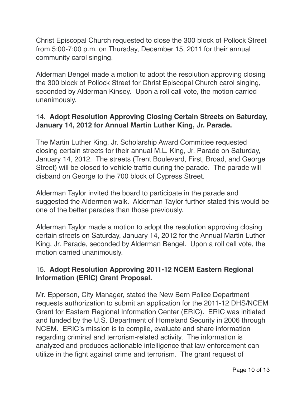Christ Episcopal Church requested to close the 300 block of Pollock Street from 5:00-7:00 p.m. on Thursday, December 15, 2011 for their annual community carol singing.

Alderman Bengel made a motion to adopt the resolution approving closing the 300 block of Pollock Street for Christ Episcopal Church carol singing, seconded by Alderman Kinsey. Upon a roll call vote, the motion carried unanimously.

# 14. **Adopt Resolution Approving Closing Certain Streets on Saturday, January 14, 2012 for Annual Martin Luther King, Jr. Parade.**

The Martin Luther King, Jr. Scholarship Award Committee requested closing certain streets for their annual M.L. King, Jr. Parade on Saturday, January 14, 2012. The streets (Trent Boulevard, First, Broad, and George Street) will be closed to vehicle traffic during the parade. The parade will disband on George to the 700 block of Cypress Street.

Alderman Taylor invited the board to participate in the parade and suggested the Aldermen walk. Alderman Taylor further stated this would be one of the better parades than those previously.

Alderman Taylor made a motion to adopt the resolution approving closing certain streets on Saturday, January 14, 2012 for the Annual Martin Luther King, Jr. Parade, seconded by Alderman Bengel. Upon a roll call vote, the motion carried unanimously.

#### 15. **Adopt Resolution Approving 2011-12 NCEM Eastern Regional Information (ERIC) Grant Proposal.**

Mr. Epperson, City Manager, stated the New Bern Police Department requests authorization to submit an application for the 2011-12 DHS/NCEM Grant for Eastern Regional Information Center (ERIC). ERIC was initiated and funded by the U.S. Department of Homeland Security in 2006 through NCEM. ERIC's mission is to compile, evaluate and share information regarding criminal and terrorism-related activity. The information is analyzed and produces actionable intelligence that law enforcement can utilize in the fight against crime and terrorism. The grant request of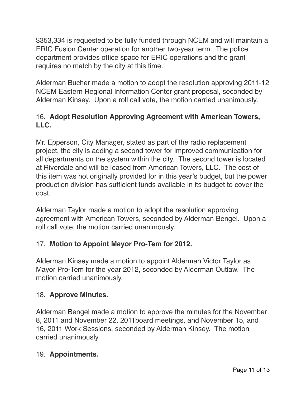\$353,334 is requested to be fully funded through NCEM and will maintain a ERIC Fusion Center operation for another two-year term. The police department provides office space for ERIC operations and the grant requires no match by the city at this time.

Alderman Bucher made a motion to adopt the resolution approving 2011-12 NCEM Eastern Regional Information Center grant proposal, seconded by Alderman Kinsey. Upon a roll call vote, the motion carried unanimously.

# 16. **Adopt Resolution Approving Agreement with American Towers, LLC.**

Mr. Epperson, City Manager, stated as part of the radio replacement project, the city is adding a second tower for improved communication for all departments on the system within the city. The second tower is located at Riverdale and will be leased from American Towers, LLC. The cost of this item was not originally provided for in this year's budget, but the power production division has sufficient funds available in its budget to cover the cost.

Alderman Taylor made a motion to adopt the resolution approving agreement with American Towers, seconded by Alderman Bengel. Upon a roll call vote, the motion carried unanimously.

#### 17. **Motion to Appoint Mayor Pro-Tem for 2012.**

Alderman Kinsey made a motion to appoint Alderman Victor Taylor as Mayor Pro-Tem for the year 2012, seconded by Alderman Outlaw. The motion carried unanimously.

#### 18. **Approve Minutes.**

Alderman Bengel made a motion to approve the minutes for the November 8, 2011 and November 22, 2011board meetings, and November 15, and 16, 2011 Work Sessions, seconded by Alderman Kinsey. The motion carried unanimously.

#### 19. **Appointments.**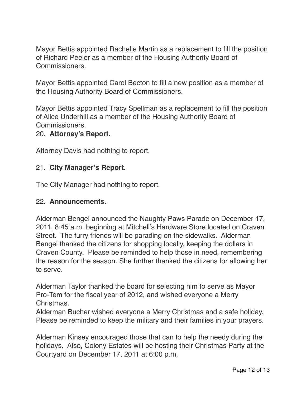Mayor Bettis appointed Rachelle Martin as a replacement to fill the position of Richard Peeler as a member of the Housing Authority Board of Commissioners.

Mayor Bettis appointed Carol Becton to fill a new position as a member of the Housing Authority Board of Commissioners.

Mayor Bettis appointed Tracy Spellman as a replacement to fill the position of Alice Underhill as a member of the Housing Authority Board of Commissioners.

# 20. **Attorney's Report.**

Attorney Davis had nothing to report.

#### 21. **City Manager's Report.**

The City Manager had nothing to report.

#### 22. **Announcements.**

Alderman Bengel announced the Naughty Paws Parade on December 17, 2011, 8:45 a.m. beginning at Mitchell's Hardware Store located on Craven Street. The furry friends will be parading on the sidewalks. Alderman Bengel thanked the citizens for shopping locally, keeping the dollars in Craven County. Please be reminded to help those in need, remembering the reason for the season. She further thanked the citizens for allowing her to serve.

Alderman Taylor thanked the board for selecting him to serve as Mayor Pro-Tem for the fiscal year of 2012, and wished everyone a Merry Christmas.

Alderman Bucher wished everyone a Merry Christmas and a safe holiday. Please be reminded to keep the military and their families in your prayers.

Alderman Kinsey encouraged those that can to help the needy during the holidays. Also, Colony Estates will be hosting their Christmas Party at the Courtyard on December 17, 2011 at 6:00 p.m.